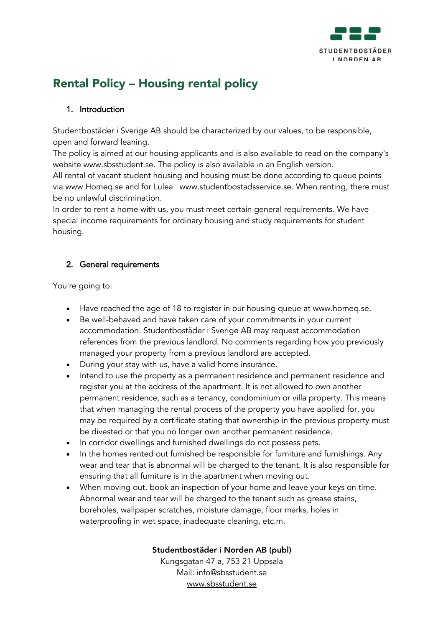

# Rental Policy – Housing rental policy

#### 1. Introduction

Studentbostäder i Sverige AB should be characterized by our values, to be responsible, open and forward leaning.

The policy is aimed at our housing applicants and is also available to read on the company's website www.sbsstudent.se. The policy is also available in an English version.

All rental of vacant student housing and housing must be done according to queue points via www.Homeq.se and for Lulea www.studentbostadsservice.se. When renting, there must be no unlawful discrimination.

In order to rent a home with us, you must meet certain general requirements. We have special income requirements for ordinary housing and study requirements for student housing.

## 2. General requirements

You're going to:

- Have reached the age of 18 to register in our housing queue at www.homeq.se.
- Be well-behaved and have taken care of your commitments in your current accommodation. Studentbostäder i Sverige AB may request accommodation references from the previous landlord. No comments regarding how you previously managed your property from a previous landlord are accepted.
- During your stay with us, have a valid home insurance.
- Intend to use the property as a permanent residence and permanent residence and register you at the address of the apartment. It is not allowed to own another permanent residence, such as a tenancy, condominium or villa property. This means that when managing the rental process of the property you have applied for, you may be required by a certificate stating that ownership in the previous property must be divested or that you no longer own another permanent residence.
- In corridor dwellings and furnished dwellings do not possess pets.
- In the homes rented out furnished be responsible for furniture and furnishings. Any wear and tear that is abnormal will be charged to the tenant. It is also responsible for ensuring that all furniture is in the apartment when moving out.
- When moving out, book an inspection of your home and leave your keys on time. Abnormal wear and tear will be charged to the tenant such as grease stains, boreholes, wallpaper scratches, moisture damage, floor marks, holes in waterproofing in wet space, inadequate cleaning, etc.m.

#### Studentbostäder i Norden AB (publ)

Kungsgatan 47 a, 753 21 Uppsala Mail: info@sbsstudent.se www.sbsstudent.se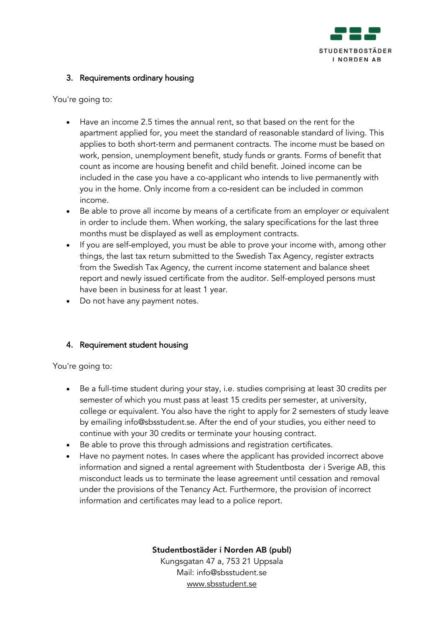

#### 3. Requirements ordinary housing

You're going to:

- Have an income 2.5 times the annual rent, so that based on the rent for the apartment applied for, you meet the standard of reasonable standard of living. This applies to both short-term and permanent contracts. The income must be based on work, pension, unemployment benefit, study funds or grants. Forms of benefit that count as income are housing benefit and child benefit. Joined income can be included in the case you have a co-applicant who intends to live permanently with you in the home. Only income from a co-resident can be included in common income.
- Be able to prove all income by means of a certificate from an employer or equivalent in order to include them. When working, the salary specifications for the last three months must be displayed as well as employment contracts.
- If you are self-employed, you must be able to prove your income with, among other things, the last tax return submitted to the Swedish Tax Agency, register extracts from the Swedish Tax Agency, the current income statement and balance sheet report and newly issued certificate from the auditor. Self-employed persons must have been in business for at least 1 year.
- Do not have any payment notes.

## 4. Requirement student housing

You're going to:

- Be a full-time student during your stay, i.e. studies comprising at least 30 credits per semester of which you must pass at least 15 credits per semester, at university, college or equivalent. You also have the right to apply for 2 semesters of study leave by emailing info@sbsstudent.se. After the end of your studies, you either need to continue with your 30 credits or terminate your housing contract.
- Be able to prove this through admissions and registration certificates.
- Have no payment notes. In cases where the applicant has provided incorrect above information and signed a rental agreement with Studentbosta der i Sverige AB, this misconduct leads us to terminate the lease agreement until cessation and removal under the provisions of the Tenancy Act. Furthermore, the provision of incorrect information and certificates may lead to a police report.

Studentbostäder i Norden AB (publ)

Kungsgatan 47 a, 753 21 Uppsala Mail: info@sbsstudent.se www.sbsstudent.se